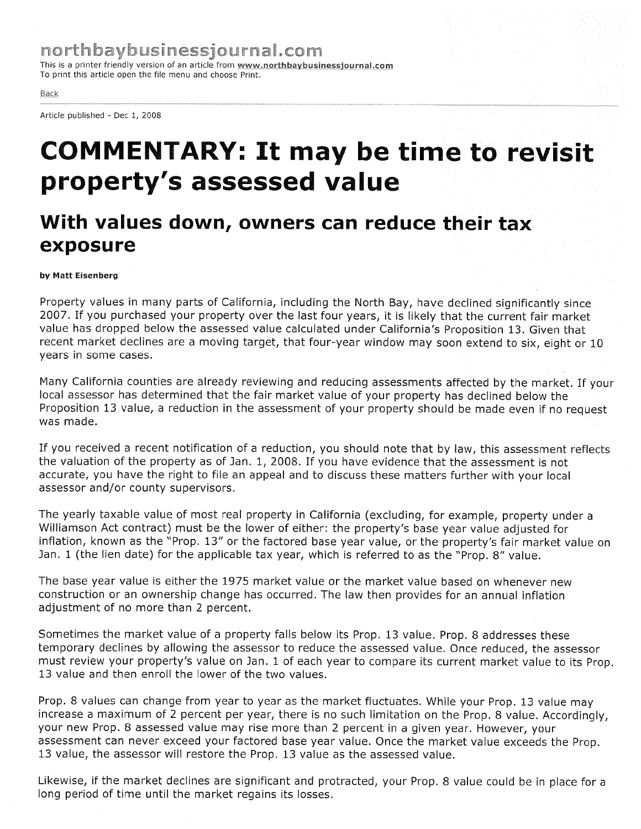This is a printer friendly version of an article from www.northbaybusinessjournal.com To print this article open the file menu and choose Print.

## Back

Article published - Dec 1, 2008

## COMMENTARY: It may be time to revisit property's assessed value

## With values down, owners can reduce their tax exposure

by Matt Eisenberg

Property values in many parts of California, including the North Bay, have declined significantly since 2007. If you purchased your property over the last four years, it is likely that the current fair market value has dropped below the assessed value calculated under California's Proposition 13. Given that recent market declines are a moving target, that four-year window may soon extend to six, eight or 10 years in some cases.

Many California counties are already reviewing and reducing assessments affected by the market. If your local assessor has determined that the fair market value of your property has declined below the Proposition 13 value, a reduction in the assessment of your property should be made even if no request was made.

If you received a recent notification of a reduction, you should note that by law, this assessment reflects the valuation of the property as of Jan. 1, 2008. If you have evidence that the assessment is not accurate, you have the right to file an appeal and to discuss these matters further with your local assessor and/or county supervisors.

The yearly taxable value of most real property in California (excluding, for example, property under a Williamson Act contract) must be the lower of either: the property's base year value adjusted for inflation, known as the "Prop. 13" or the factored base year value, or the property's fair market value on Jan. 1 (the lien date) for the applicable tax year, which is referred to as the "Prop. 8" value.

The base year value is either the 1975 market value or the market value based on whenever new construction or an ownership change has occurred. The law then provides for an annual inflation adjustment of no more than 2 percent.

Sometimes the market value of a property falls below its Prop. 13 value. Prop. 8 addresses these temporary declines by allowing the assessor to reduce the assessed value. Once reduced, the assessor must review your property's value on Jan. 1 of each year to compare its current market value to its Prop. 13 value and then enroll the lower of the two values.

Prop. 8 values can change from year to year as the market fluctuates. While your Prop. 13 value may increase a maximum of 2 percent per year, there is no such limitation on the Prop. 8 value. Accordingly, your new Prop. 8 assessed value may rise more than 2 percent in a given year. However, your assessment can never exceed your factored base year value. Once the market value exceeds the Prop. 13 value, the assessor will restore the Prop. 13 value as the assessed value.

Likewise, if the market declines are significant and protracted, your Prop. 8 value could be in place for a long period of time until the market regains its losses.